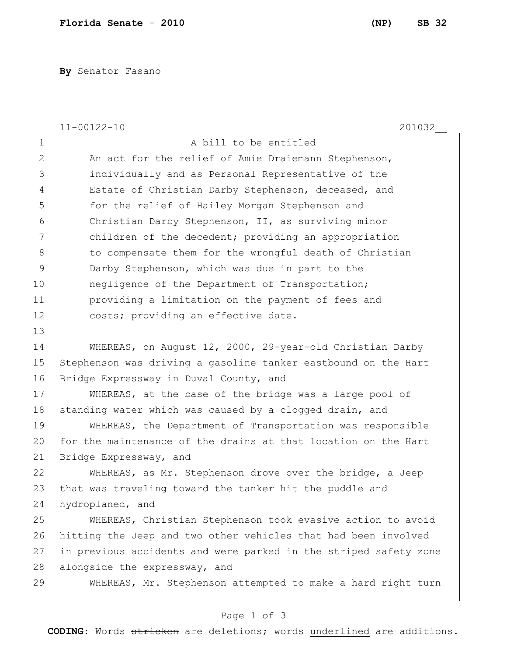**By** Senator Fasano

|                | $11 - 00122 - 10$<br>201032                                      |
|----------------|------------------------------------------------------------------|
| $1\,$          | A bill to be entitled                                            |
| $\overline{2}$ | An act for the relief of Amie Draiemann Stephenson,              |
| 3              | individually and as Personal Representative of the               |
| 4              | Estate of Christian Darby Stephenson, deceased, and              |
| 5              | for the relief of Hailey Morgan Stephenson and                   |
| 6              | Christian Darby Stephenson, II, as surviving minor               |
| 7              | children of the decedent; providing an appropriation             |
| 8              | to compensate them for the wrongful death of Christian           |
| $\mathcal{G}$  | Darby Stephenson, which was due in part to the                   |
| 10             | negligence of the Department of Transportation;                  |
| 11             | providing a limitation on the payment of fees and                |
| 12             | costs; providing an effective date.                              |
| 13             |                                                                  |
| 14             | WHEREAS, on August 12, 2000, 29-year-old Christian Darby         |
| 15             | Stephenson was driving a gasoline tanker eastbound on the Hart   |
| 16             | Bridge Expressway in Duval County, and                           |
| 17             | WHEREAS, at the base of the bridge was a large pool of           |
| 18             | standing water which was caused by a clogged drain, and          |
| 19             | WHEREAS, the Department of Transportation was responsible        |
| 20             | for the maintenance of the drains at that location on the Hart   |
| 21             | Bridge Expressway, and                                           |
| 22             | WHEREAS, as Mr. Stephenson drove over the bridge, a Jeep         |
| 23             | that was traveling toward the tanker hit the puddle and          |
| 24             | hydroplaned, and                                                 |
| 25             | WHEREAS, Christian Stephenson took evasive action to avoid       |
| 26             | hitting the Jeep and two other vehicles that had been involved   |
| 27             | in previous accidents and were parked in the striped safety zone |
| 28             | alongside the expressway, and                                    |
| 29             | WHEREAS, Mr. Stephenson attempted to make a hard right turn      |
|                |                                                                  |

## Page 1 of 3

**CODING**: Words stricken are deletions; words underlined are additions.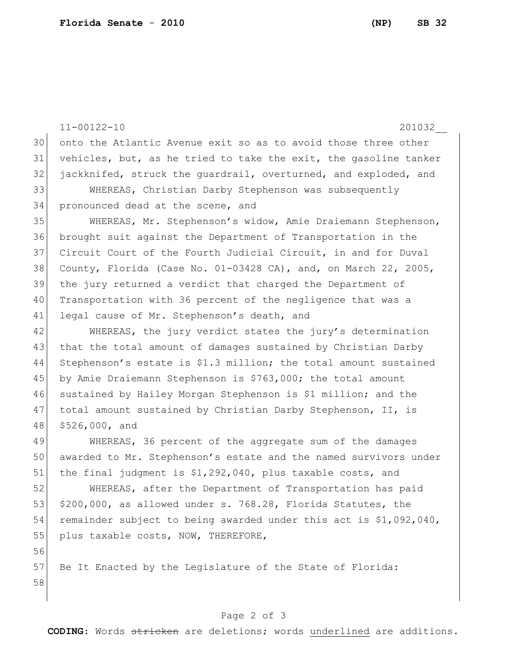11-00122-10 201032\_\_ onto the Atlantic Avenue exit so as to avoid those three other vehicles, but, as he tried to take the exit, the gasoline tanker jackknifed, struck the guardrail, overturned, and exploded, and WHEREAS, Christian Darby Stephenson was subsequently 34 pronounced dead at the scene, and WHEREAS, Mr. Stephenson's widow, Amie Draiemann Stephenson, brought suit against the Department of Transportation in the Circuit Court of the Fourth Judicial Circuit, in and for Duval 38 County, Florida (Case No.  $01-03428$  CA), and, on March 22, 2005, the jury returned a verdict that charged the Department of Transportation with 36 percent of the negligence that was a 41 legal cause of Mr. Stephenson's death, and 42 WHEREAS, the jury verdict states the jury's determination that the total amount of damages sustained by Christian Darby Stephenson's estate is \$1.3 million; the total amount sustained by Amie Draiemann Stephenson is \$763,000; the total amount sustained by Hailey Morgan Stephenson is \$1 million; and the total amount sustained by Christian Darby Stephenson, II, is \$526,000, and WHEREAS, 36 percent of the aggregate sum of the damages awarded to Mr. Stephenson's estate and the named survivors under

51 the final judgment is \$1,292,040, plus taxable costs, and WHEREAS, after the Department of Transportation has paid 53  $$200,000$ , as allowed under s. 768.28, Florida Statutes, the 54 remainder subject to being awarded under this act is \$1,092,040, 55 plus taxable costs, NOW, THEREFORE,

57 Be It Enacted by the Legislature of the State of Florida: 

## Page 2 of 3

**CODING**: Words stricken are deletions; words underlined are additions.